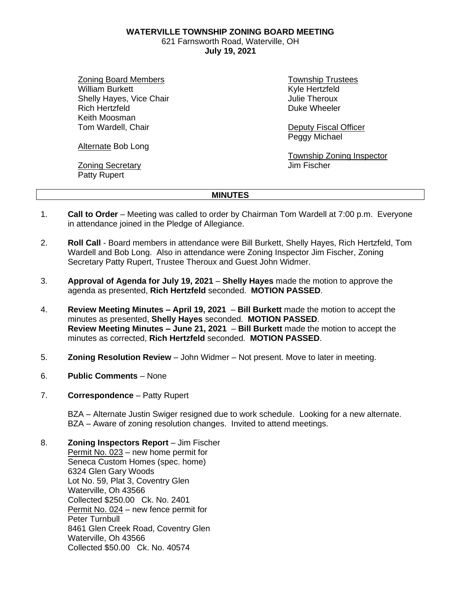**WATERVILLE TOWNSHIP ZONING BOARD MEETING**

621 Farnsworth Road, Waterville, OH **July 19, 2021**

Zoning Board Members William Burkett Shelly Hayes, Vice Chair Rich Hertzfeld Keith Moosman Tom Wardell, Chair

Township Trustees Kyle Hertzfeld Julie Theroux Duke Wheeler

Deputy Fiscal Officer Peggy Michael

Township Zoning Inspector Jim Fischer

Zoning Secretary Patty Rupert

Alternate Bob Long

**MINUTES**

- 1. **Call to Order** Meeting was called to order by Chairman Tom Wardell at 7:00 p.m. Everyone in attendance joined in the Pledge of Allegiance.
- 2. **Roll Call** Board members in attendance were Bill Burkett, Shelly Hayes, Rich Hertzfeld, Tom Wardell and Bob Long. Also in attendance were Zoning Inspector Jim Fischer, Zoning Secretary Patty Rupert, Trustee Theroux and Guest John Widmer.
- 3. **Approval of Agenda for July 19, 2021 Shelly Hayes** made the motion to approve the agenda as presented, **Rich Hertzfeld** seconded. **MOTION PASSED**.
- 4. **Review Meeting Minutes – April 19, 2021 Bill Burkett** made the motion to accept the minutes as presented, **Shelly Hayes** seconded. **MOTION PASSED**. **Review Meeting Minutes – June 21, 2021** – **Bill Burkett** made the motion to accept the minutes as corrected, **Rich Hertzfeld** seconded. **MOTION PASSED**.
- 5. **Zoning Resolution Review** John Widmer Not present. Move to later in meeting.
- 6. **Public Comments** None
- 7. **Correspondence** Patty Rupert

BZA – Alternate Justin Swiger resigned due to work schedule. Looking for a new alternate. BZA – Aware of zoning resolution changes. Invited to attend meetings.

8. **Zoning Inspectors Report** – Jim Fischer Permit No. 023 – new home permit for Seneca Custom Homes (spec. home) 6324 Glen Gary Woods Lot No. 59, Plat 3, Coventry Glen Waterville, Oh 43566 Collected \$250.00 Ck. No. 2401 Permit No. 024 – new fence permit for Peter Turnbull 8461 Glen Creek Road, Coventry Glen Waterville, Oh 43566 Collected \$50.00 Ck. No. 40574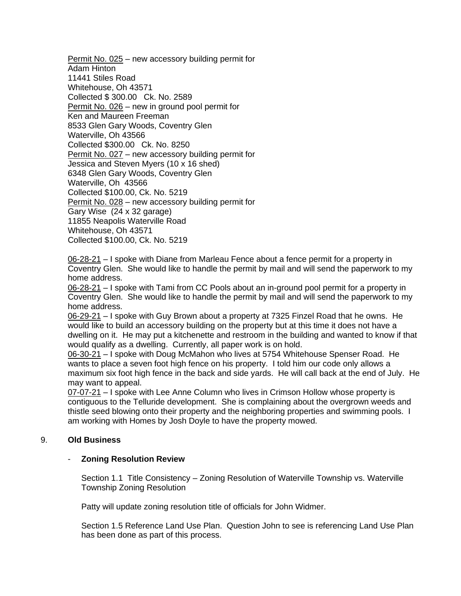Permit No. 025 – new accessory building permit for Adam Hinton 11441 Stiles Road Whitehouse, Oh 43571 Collected \$ 300.00 Ck. No. 2589 Permit No. 026 – new in ground pool permit for Ken and Maureen Freeman 8533 Glen Gary Woods, Coventry Glen Waterville, Oh 43566 Collected \$300.00 Ck. No. 8250 Permit No. 027 – new accessory building permit for Jessica and Steven Myers (10 x 16 shed) 6348 Glen Gary Woods, Coventry Glen Waterville, Oh 43566 Collected \$100.00, Ck. No. 5219 Permit No. 028 – new accessory building permit for Gary Wise (24 x 32 garage) 11855 Neapolis Waterville Road Whitehouse, Oh 43571 Collected \$100.00, Ck. No. 5219

06-28-21 – I spoke with Diane from Marleau Fence about a fence permit for a property in Coventry Glen. She would like to handle the permit by mail and will send the paperwork to my home address.

06-28-21 – I spoke with Tami from CC Pools about an in-ground pool permit for a property in Coventry Glen. She would like to handle the permit by mail and will send the paperwork to my home address.

06-29-21 – I spoke with Guy Brown about a property at 7325 Finzel Road that he owns. He would like to build an accessory building on the property but at this time it does not have a dwelling on it. He may put a kitchenette and restroom in the building and wanted to know if that would qualify as a dwelling. Currently, all paper work is on hold.

06-30-21 – I spoke with Doug McMahon who lives at 5754 Whitehouse Spenser Road. He wants to place a seven foot high fence on his property. I told him our code only allows a maximum six foot high fence in the back and side yards. He will call back at the end of July. He may want to appeal.

07-07-21 – I spoke with Lee Anne Column who lives in Crimson Hollow whose property is contiguous to the Telluride development. She is complaining about the overgrown weeds and thistle seed blowing onto their property and the neighboring properties and swimming pools. I am working with Homes by Josh Doyle to have the property mowed.

## 9. **Old Business**

## - **Zoning Resolution Review**

Section 1.1 Title Consistency – Zoning Resolution of Waterville Township vs. Waterville Township Zoning Resolution

Patty will update zoning resolution title of officials for John Widmer.

Section 1.5 Reference Land Use Plan. Question John to see is referencing Land Use Plan has been done as part of this process.